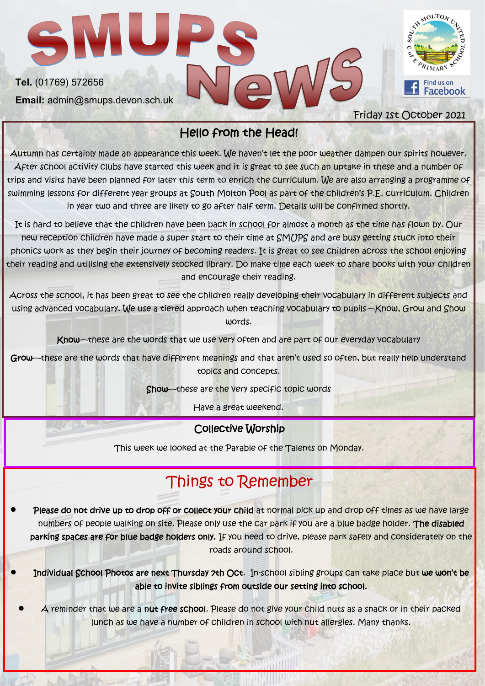

## Hello from the Head!

Autumn has certainly made an appearance this week. We haven't let the poor weather dampen our spirits however. After school activity clubs have started this week and it is great to see such an uptake in these and a number of trips and visits have been planned for later this term to enrich the curriculum. We are also arranging a programme of swimming lessons for different year groups at South Molton Pool as part of the children's P.E. curriculum. Children in year two and three are likely to go after half term. Details will be confirmed shortly.

It is hard to believe that the children have been back in school for almost a month as the time has flown by. Our new reception children have made a super start to their time at SMUPS and are busy getting stuck into their phonics work as they begin their journey of becoming readers. It is great to see children across the school enjoying their reading and utilising the extensively stocked library. Do make time each week to share books with your children and encourage their reading.

Across the school, it has been great to see the children really developing their vocabulary in different subjects and using advanced vocabulary. We use a tiered approach when teaching vocabulary to pupils—Know, Grow and Show words.

Know—these are the words that we use very often and are part of our everyday vocabulary

Grow—these are the words that have different meanings and that aren't used so often, but really help understand topics and concepts.

Show-these are the very specific topic words

Have a great weekend.

#### Collective Worship

This week we looked at the Parable of the Talents on Monday.

# Things to Remember

Please do not drive up to drop off or collect your child at normal pick up and drop off times as we have large numbers of people walking on site. Please only use the car park if you are a blue badge holder. The disabled parking spaces are for blue badge holders only. If you need to drive, please park safely and considerately on the roads around school.

• Individual School Photos are next Thursday 7th Oct. In-school sibling groups can take place but we won't be able to invite siblings from outside our setting into school.

• A reminder that we are a nut free school. Please do not give your child nuts as a snack or in their packed lunch as we have a number of children in school with nut allergies. Many thanks.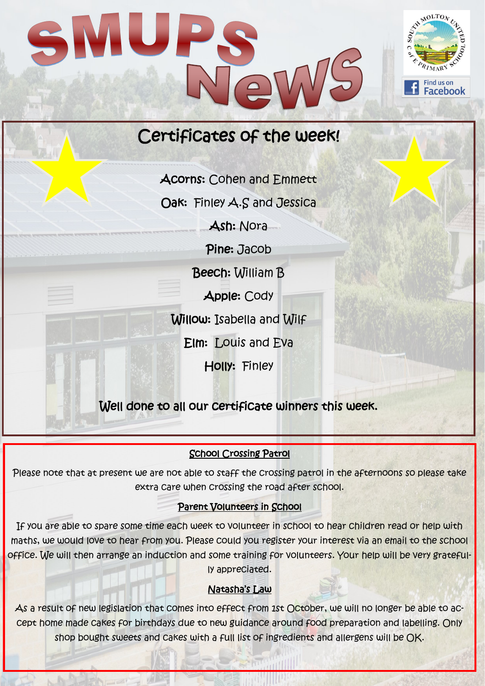

Acorns: Cohen and Emmett

Oak: Finley A.S and Jessica

Ash: Nora

Pine: Jacob

Beech: William B

Apple: Cody

Willow: Isabella and Wilf

Elm: Louis and Eva

Holly: Finley

Well done to all our certificate winners this week.

### School Crossing Patrol

Please note that at present we are not able to staff the crossing patrol in the afternoons so please take extra care when crossing the road after school.

#### Parent Volunteers in School

If you are able to spare some time each week to volunteer in school to hear children read or help with maths, we would love to hear from you. Please could you register your interest via an email to the school office. We will then arrange an induction and some training for volunteers. Your help will be very gratefully appreciated.

#### Natasha's Law

As a result of new legislation that comes into effect from 1st October, we will no longer be able to accept home made cakes for birthdays due to new guidance around food preparation and labelling. Only shop bought sweets and cakes with a full list of ingredients and allergens will be OK.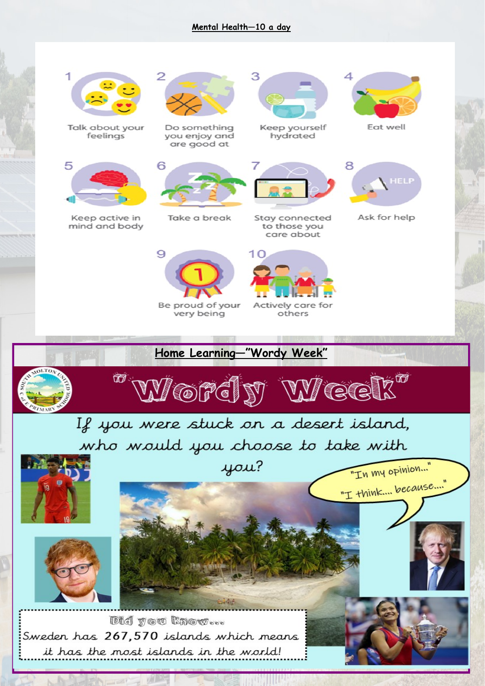#### **Mental Health—10 a day**